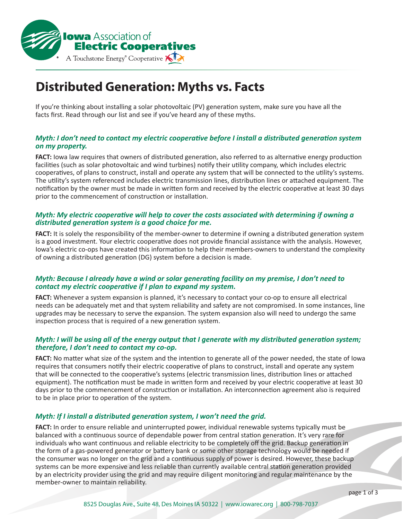

# **Distributed Generation: Myths vs. Facts**

If you're thinking about installing a solar photovoltaic (PV) generation system, make sure you have all the facts first. Read through our list and see if you've heard any of these myths.

# *Myth: I don't need to contact my electric cooperative before I install a distributed generation system on my property.*

**FACT:** Iowa law requires that owners of distributed generation, also referred to as alternative energy production facilities (such as solar photovoltaic and wind turbines) notify their utility company, which includes electric cooperatives, of plans to construct, install and operate any system that will be connected to the utility's systems. The utility's system referenced includes electric transmission lines, distribution lines or attached equipment. The notification by the owner must be made in written form and received by the electric cooperative at least 30 days prior to the commencement of construction or installation.

# *Myth: My electric cooperative will help to cover the costs associated with determining if owning a distributed generation system is a good choice for me.*

**FACT:** It is solely the responsibility of the member-owner to determine if owning a distributed generation system is a good investment. Your electric cooperative does not provide financial assistance with the analysis. However, Iowa's electric co-ops have created this information to help their members-owners to understand the complexity of owning a distributed generation (DG) system before a decision is made.

## *Myth: Because I already have a wind or solar generating facility on my premise, I don't need to contact my electric cooperative if I plan to expand my system.*

**FACT:** Whenever a system expansion is planned, it's necessary to contact your co-op to ensure all electrical needs can be adequately met and that system reliability and safety are not compromised. In some instances, line upgrades may be necessary to serve the expansion. The system expansion also will need to undergo the same inspection process that is required of a new generation system.

# *Myth: I will be using all of the energy output that I generate with my distributed generation system; therefore, I don't need to contact my co-op.*

**FACT:** No matter what size of the system and the intention to generate all of the power needed, the state of Iowa requires that consumers notify their electric cooperative of plans to construct, install and operate any system that will be connected to the cooperative's systems (electric transmission lines, distribution lines or attached equipment). The notification must be made in written form and received by your electric cooperative at least 30 days prior to the commencement of construction or installation. An interconnection agreement also is required to be in place prior to operation of the system.

# *Myth: If I install a distributed generation system, I won't need the grid.*

**FACT:** In order to ensure reliable and uninterrupted power, individual renewable systems typically must be balanced with a continuous source of dependable power from central station generation. It's very rare for individuals who want continuous and reliable electricity to be completely off the grid. Backup generation in the form of a gas-powered generator or battery bank or some other storage technology would be needed if the consumer was no longer on the grid and a continuous supply of power is desired. However, these backup systems can be more expensive and less reliable than currently available central station generation provided by an electricity provider using the grid and may require diligent monitoring and regular maintenance by the member-owner to maintain reliability.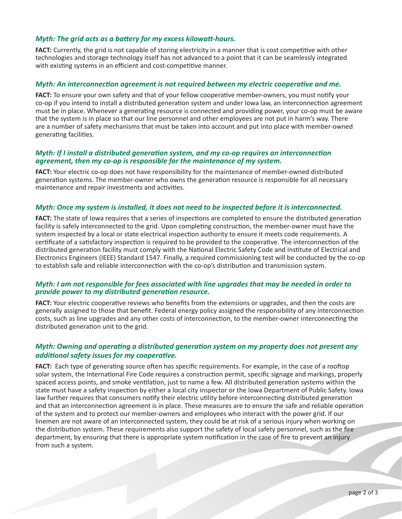### *Myth: The grid acts as a battery for my excess kilowatt-hours.*

**FACT:** Currently, the grid is not capable of storing electricity in a manner that is cost competitive with other technologies and storage technology itself has not advanced to a point that it can be seamlessly integrated with existing systems in an efficient and cost-competitive manner.

#### *Myth: An interconnection agreement is not required between my electric cooperative and me.*

**FACT:** To ensure your own safety and that of your fellow cooperative member-owners, you must notify your co-op if you intend to install a distributed generation system and under Iowa law, an interconnection agreement must be in place. Whenever a generating resource is connected and providing power, your co-op must be aware that the system is in place so that our line personnel and other employees are not put in harm's way. There are a number of safety mechanisms that must be taken into account and put into place with member-owned generating facilities.

### *Myth: If I install a distributed generation system, and my co-op requires an interconnection agreement, then my co-op is responsible for the maintenance of my system.*

**FACT:** Your electric co-op does not have responsibility for the maintenance of member-owned distributed generation systems. The member-owner who owns the generation resource is responsible for all necessary maintenance and repair investments and activities.

#### *Myth: Once my system is installed, it does not need to be inspected before it is interconnected.*

**FACT:** The state of Iowa requires that a series of inspections are completed to ensure the distributed generation facility is safely interconnected to the grid. Upon completing construction, the member-owner must have the system inspected by a local or state electrical inspection authority to ensure it meets code requirements. A certificate of a satisfactory inspection is required to be provided to the cooperative. The interconnection of the distributed generation facility must comply with the National Electric Safety Code and Institute of Electrical and Electronics Engineers (IEEE) Standard 1547. Finally, a required commissioning test will be conducted by the co-op to establish safe and reliable interconnection with the co-op's distribution and transmission system.

### *Myth: I am not responsible for fees associated with line upgrades that may be needed in order to provide power to my distributed generation resource.*

**FACT:** Your electric cooperative reviews who benefits from the extensions or upgrades, and then the costs are generally assigned to those that benefit. Federal energy policy assigned the responsibility of any interconnection costs, such as line upgrades and any other costs of interconnection, to the member-owner interconnecting the distributed generation unit to the grid.

# *Myth: Owning and operating a distributed generation system on my property does not present any additional safety issues for my cooperative.*

**FACT:** Each type of generating source often has specific requirements. For example, in the case of a rooftop solar system, the International Fire Code requires a construction permit, specific signage and markings, properly spaced access points, and smoke ventilation, just to name a few. All distributed generation systems within the state must have a safety inspection by either a local city inspector or the Iowa Department of Public Safety. Iowa law further requires that consumers notify their electric utility before interconnecting distributed generation and that an interconnection agreement is in place. These measures are to ensure the safe and reliable operation of the system and to protect our member-owners and employees who interact with the power grid. If our linemen are not aware of an interconnected system, they could be at risk of a serious injury when working on the distribution system. These requirements also support the safety of local safety personnel, such as the fire department, by ensuring that there is appropriate system notification in the case of fire to prevent an injury from such a system.